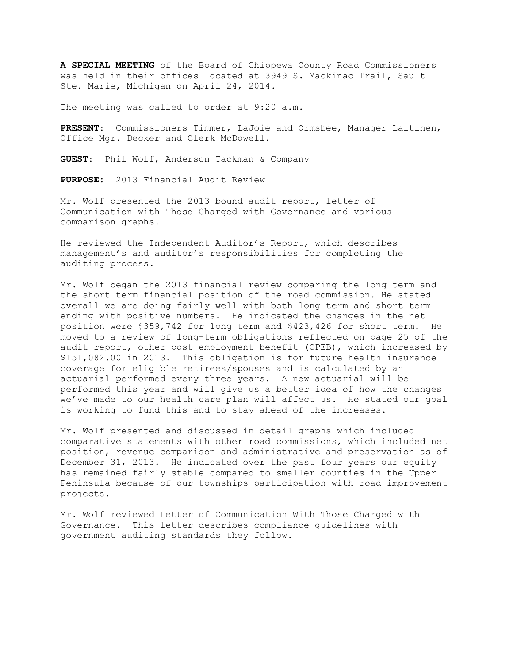**A SPECIAL MEETING** of the Board of Chippewa County Road Commissioners was held in their offices located at 3949 S. Mackinac Trail, Sault Ste. Marie, Michigan on April 24, 2014.

The meeting was called to order at 9:20 a.m.

**PRESENT**: Commissioners Timmer, LaJoie and Ormsbee, Manager Laitinen, Office Mgr. Decker and Clerk McDowell.

**GUEST**: Phil Wolf, Anderson Tackman & Company

**PURPOSE:** 2013 Financial Audit Review

Mr. Wolf presented the 2013 bound audit report, letter of Communication with Those Charged with Governance and various comparison graphs.

He reviewed the Independent Auditor's Report, which describes management's and auditor's responsibilities for completing the auditing process.

Mr. Wolf began the 2013 financial review comparing the long term and the short term financial position of the road commission. He stated overall we are doing fairly well with both long term and short term ending with positive numbers. He indicated the changes in the net position were \$359,742 for long term and \$423,426 for short term. He moved to a review of long-term obligations reflected on page 25 of the audit report, other post employment benefit (OPEB), which increased by \$151,082.00 in 2013. This obligation is for future health insurance coverage for eligible retirees/spouses and is calculated by an actuarial performed every three years. A new actuarial will be performed this year and will give us a better idea of how the changes we've made to our health care plan will affect us. He stated our goal is working to fund this and to stay ahead of the increases.

Mr. Wolf presented and discussed in detail graphs which included comparative statements with other road commissions, which included net position, revenue comparison and administrative and preservation as of December 31, 2013. He indicated over the past four years our equity has remained fairly stable compared to smaller counties in the Upper Peninsula because of our townships participation with road improvement projects.

Mr. Wolf reviewed Letter of Communication With Those Charged with Governance. This letter describes compliance guidelines with government auditing standards they follow.